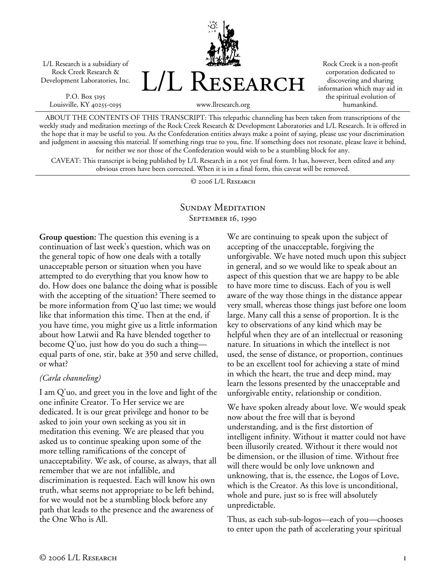L/L Research is a subsidiary of Rock Creek Research & Development Laboratories, Inc.

P.O. Box 5195 Louisville, KY 40255-0195



Rock Creek is a non-profit corporation dedicated to discovering and sharing information which may aid in the spiritual evolution of humankind.

www.llresearch.org

ABOUT THE CONTENTS OF THIS TRANSCRIPT: This telepathic channeling has been taken from transcriptions of the weekly study and meditation meetings of the Rock Creek Research & Development Laboratories and L/L Research. It is offered in the hope that it may be useful to you. As the Confederation entities always make a point of saying, please use your discrimination and judgment in assessing this material. If something rings true to you, fine. If something does not resonate, please leave it behind, for neither we nor those of the Confederation would wish to be a stumbling block for any.

CAVEAT: This transcript is being published by L/L Research in a not yet final form. It has, however, been edited and any obvious errors have been corrected. When it is in a final form, this caveat will be removed.

© 2006 L/L Research

## SUNDAY MEDITATION SEPTEMBER 16, 1990

**Group question:** The question this evening is a continuation of last week's question, which was on the general topic of how one deals with a totally unacceptable person or situation when you have attempted to do everything that you know how to do. How does one balance the doing what is possible with the accepting of the situation? There seemed to be more information from Q'uo last time; we would like that information this time. Then at the end, if you have time, you might give us a little information about how Latwii and Ra have blended together to become Q'uo, just how do you do such a thing equal parts of one, stir, bake at 350 and serve chilled, or what?

### *(Carla channeling)*

I am Q'uo, and greet you in the love and light of the one infinite Creator. To Her service we are dedicated. It is our great privilege and honor to be asked to join your own seeking as you sit in meditation this evening. We are pleased that you asked us to continue speaking upon some of the more telling ramifications of the concept of unacceptability. We ask, of course, as always, that all remember that we are not infallible, and discrimination is requested. Each will know his own truth, what seems not appropriate to be left behind, for we would not be a stumbling block before any path that leads to the presence and the awareness of the One Who is All.

We are continuing to speak upon the subject of accepting of the unacceptable, forgiving the unforgivable. We have noted much upon this subject in general, and so we would like to speak about an aspect of this question that we are happy to be able to have more time to discuss. Each of you is well aware of the way those things in the distance appear very small, whereas those things just before one loom large. Many call this a sense of proportion. It is the key to observations of any kind which may be helpful when they are of an intellectual or reasoning nature. In situations in which the intellect is not used, the sense of distance, or proportion, continues to be an excellent tool for achieving a state of mind in which the heart, the true and deep mind, may learn the lessons presented by the unacceptable and unforgivable entity, relationship or condition.

We have spoken already about love. We would speak now about the free will that is beyond understanding, and is the first distortion of intelligent infinity. Without it matter could not have been illusorily created. Without it there would not be dimension, or the illusion of time. Without free will there would be only love unknown and unknowing, that is, the essence, the Logos of Love, which is the Creator. As this love is unconditional, whole and pure, just so is free will absolutely unpredictable.

Thus, as each sub-sub-logos—each of you—chooses to enter upon the path of accelerating your spiritual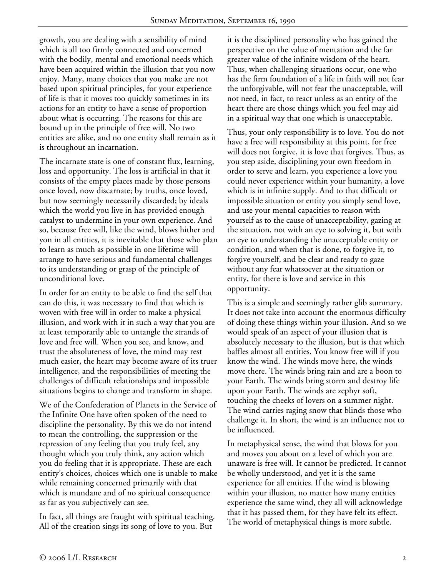growth, you are dealing with a sensibility of mind which is all too firmly connected and concerned with the bodily, mental and emotional needs which have been acquired within the illusion that you now enjoy. Many, many choices that you make are not based upon spiritual principles, for your experience of life is that it moves too quickly sometimes in its actions for an entity to have a sense of proportion about what is occurring. The reasons for this are bound up in the principle of free will. No two entities are alike, and no one entity shall remain as it is throughout an incarnation.

The incarnate state is one of constant flux, learning, loss and opportunity. The loss is artificial in that it consists of the empty places made by those persons once loved, now discarnate; by truths, once loved, but now seemingly necessarily discarded; by ideals which the world you live in has provided enough catalyst to undermine in your own experience. And so, because free will, like the wind, blows hither and yon in all entities, it is inevitable that those who plan to learn as much as possible in one lifetime will arrange to have serious and fundamental challenges to its understanding or grasp of the principle of unconditional love.

In order for an entity to be able to find the self that can do this, it was necessary to find that which is woven with free will in order to make a physical illusion, and work with it in such a way that you are at least temporarily able to untangle the strands of love and free will. When you see, and know, and trust the absoluteness of love, the mind may rest much easier, the heart may become aware of its truer intelligence, and the responsibilities of meeting the challenges of difficult relationships and impossible situations begins to change and transform in shape.

We of the Confederation of Planets in the Service of the Infinite One have often spoken of the need to discipline the personality. By this we do not intend to mean the controlling, the suppression or the repression of any feeling that you truly feel, any thought which you truly think, any action which you do feeling that it is appropriate. These are each entity's choices, choices which one is unable to make while remaining concerned primarily with that which is mundane and of no spiritual consequence as far as you subjectively can see.

In fact, all things are fraught with spiritual teaching. All of the creation sings its song of love to you. But

it is the disciplined personality who has gained the perspective on the value of mentation and the far greater value of the infinite wisdom of the heart. Thus, when challenging situations occur, one who has the firm foundation of a life in faith will not fear the unforgivable, will not fear the unacceptable, will not need, in fact, to react unless as an entity of the heart there are those things which you feel may aid in a spiritual way that one which is unacceptable.

Thus, your only responsibility is to love. You do not have a free will responsibility at this point, for free will does not forgive, it is love that forgives. Thus, as you step aside, disciplining your own freedom in order to serve and learn, you experience a love you could never experience within your humanity, a love which is in infinite supply. And to that difficult or impossible situation or entity you simply send love, and use your mental capacities to reason with yourself as to the cause of unacceptability, gazing at the situation, not with an eye to solving it, but with an eye to understanding the unacceptable entity or condition, and when that is done, to forgive it, to forgive yourself, and be clear and ready to gaze without any fear whatsoever at the situation or entity, for there is love and service in this opportunity.

This is a simple and seemingly rather glib summary. It does not take into account the enormous difficulty of doing these things within your illusion. And so we would speak of an aspect of your illusion that is absolutely necessary to the illusion, but is that which baffles almost all entities. You know free will if you know the wind. The winds move here, the winds move there. The winds bring rain and are a boon to your Earth. The winds bring storm and destroy life upon your Earth. The winds are zephyr soft, touching the cheeks of lovers on a summer night. The wind carries raging snow that blinds those who challenge it. In short, the wind is an influence not to be influenced.

In metaphysical sense, the wind that blows for you and moves you about on a level of which you are unaware is free will. It cannot be predicted. It cannot be wholly understood, and yet it is the same experience for all entities. If the wind is blowing within your illusion, no matter how many entities experience the same wind, they all will acknowledge that it has passed them, for they have felt its effect. The world of metaphysical things is more subtle.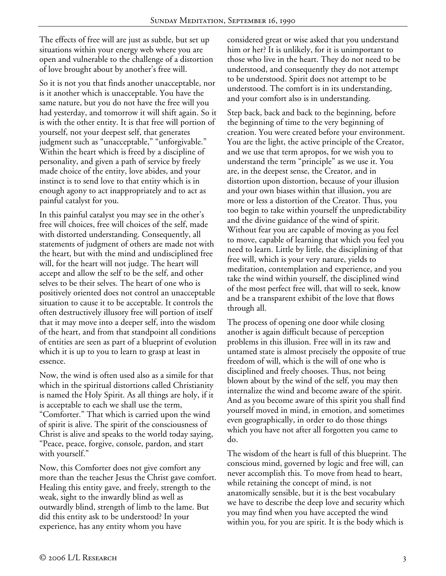The effects of free will are just as subtle, but set up situations within your energy web where you are open and vulnerable to the challenge of a distortion of love brought about by another's free will.

So it is not you that finds another unacceptable, nor is it another which is unacceptable. You have the same nature, but you do not have the free will you had yesterday, and tomorrow it will shift again. So it is with the other entity. It is that free will portion of yourself, not your deepest self, that generates judgment such as "unacceptable," "unforgivable." Within the heart which is freed by a discipline of personality, and given a path of service by freely made choice of the entity, love abides, and your instinct is to send love to that entity which is in enough agony to act inappropriately and to act as painful catalyst for you.

In this painful catalyst you may see in the other's free will choices, free will choices of the self, made with distorted understanding. Consequently, all statements of judgment of others are made not with the heart, but with the mind and undisciplined free will, for the heart will not judge. The heart will accept and allow the self to be the self, and other selves to be their selves. The heart of one who is positively oriented does not control an unacceptable situation to cause it to be acceptable. It controls the often destructively illusory free will portion of itself that it may move into a deeper self, into the wisdom of the heart, and from that standpoint all conditions of entities are seen as part of a blueprint of evolution which it is up to you to learn to grasp at least in essence.

Now, the wind is often used also as a simile for that which in the spiritual distortions called Christianity is named the Holy Spirit. As all things are holy, if it is acceptable to each we shall use the term, "Comforter." That which is carried upon the wind of spirit is alive. The spirit of the consciousness of Christ is alive and speaks to the world today saying, "Peace, peace, forgive, console, pardon, and start with yourself."

Now, this Comforter does not give comfort any more than the teacher Jesus the Christ gave comfort. Healing this entity gave, and freely, strength to the weak, sight to the inwardly blind as well as outwardly blind, strength of limb to the lame. But did this entity ask to be understood? In your experience, has any entity whom you have

considered great or wise asked that you understand him or her? It is unlikely, for it is unimportant to those who live in the heart. They do not need to be understood, and consequently they do not attempt to be understood. Spirit does not attempt to be understood. The comfort is in its understanding, and your comfort also is in understanding.

Step back, back and back to the beginning, before the beginning of time to the very beginning of creation. You were created before your environment. You are the light, the active principle of the Creator, and we use that term apropos, for we wish you to understand the term "principle" as we use it. You are, in the deepest sense, the Creator, and in distortion upon distortion, because of your illusion and your own biases within that illusion, you are more or less a distortion of the Creator. Thus, you too begin to take within yourself the unpredictability and the divine guidance of the wind of spirit. Without fear you are capable of moving as you feel to move, capable of learning that which you feel you need to learn. Little by little, the disciplining of that free will, which is your very nature, yields to meditation, contemplation and experience, and you take the wind within yourself, the disciplined wind of the most perfect free will, that will to seek, know and be a transparent exhibit of the love that flows through all.

The process of opening one door while closing another is again difficult because of perception problems in this illusion. Free will in its raw and untamed state is almost precisely the opposite of true freedom of will, which is the will of one who is disciplined and freely chooses. Thus, not being blown about by the wind of the self, you may then internalize the wind and become aware of the spirit. And as you become aware of this spirit you shall find yourself moved in mind, in emotion, and sometimes even geographically, in order to do those things which you have not after all forgotten you came to do.

The wisdom of the heart is full of this blueprint. The conscious mind, governed by logic and free will, can never accomplish this. To move from head to heart, while retaining the concept of mind, is not anatomically sensible, but it is the best vocabulary we have to describe the deep love and security which you may find when you have accepted the wind within you, for you are spirit. It is the body which is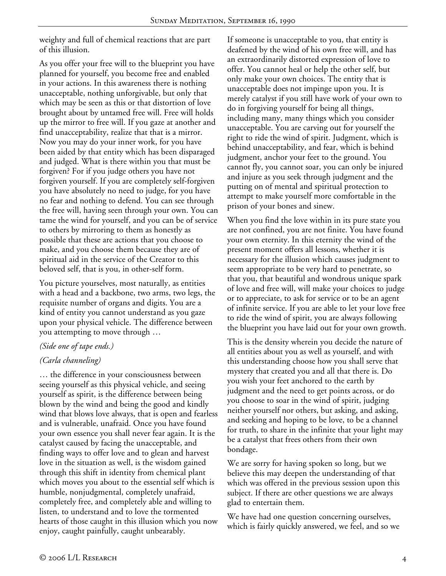weighty and full of chemical reactions that are part of this illusion.

As you offer your free will to the blueprint you have planned for yourself, you become free and enabled in your actions. In this awareness there is nothing unacceptable, nothing unforgivable, but only that which may be seen as this or that distortion of love brought about by untamed free will. Free will holds up the mirror to free will. If you gaze at another and find unacceptability, realize that that is a mirror. Now you may do your inner work, for you have been aided by that entity which has been disparaged and judged. What is there within you that must be forgiven? For if you judge others you have not forgiven yourself. If you are completely self-forgiven you have absolutely no need to judge, for you have no fear and nothing to defend. You can see through the free will, having seen through your own. You can tame the wind for yourself, and you can be of service to others by mirroring to them as honestly as possible that these are actions that you choose to make, and you choose them because they are of spiritual aid in the service of the Creator to this beloved self, that is you, in other-self form.

You picture yourselves, most naturally, as entities with a head and a backbone, two arms, two legs, the requisite number of organs and digits. You are a kind of entity you cannot understand as you gaze upon your physical vehicle. The difference between you attempting to move through …

### *(Side one of tape ends.)*

### *(Carla channeling)*

… the difference in your consciousness between seeing yourself as this physical vehicle, and seeing yourself as spirit, is the difference between being blown by the wind and being the good and kindly wind that blows love always, that is open and fearless and is vulnerable, unafraid. Once you have found your own essence you shall never fear again. It is the catalyst caused by facing the unacceptable, and finding ways to offer love and to glean and harvest love in the situation as well, is the wisdom gained through this shift in identity from chemical plant which moves you about to the essential self which is humble, nonjudgmental, completely unafraid, completely free, and completely able and willing to listen, to understand and to love the tormented hearts of those caught in this illusion which you now enjoy, caught painfully, caught unbearably.

If someone is unacceptable to you, that entity is deafened by the wind of his own free will, and has an extraordinarily distorted expression of love to offer. You cannot heal or help the other self, but only make your own choices. The entity that is unacceptable does not impinge upon you. It is merely catalyst if you still have work of your own to do in forgiving yourself for being all things, including many, many things which you consider unacceptable. You are carving out for yourself the right to ride the wind of spirit. Judgment, which is behind unacceptability, and fear, which is behind judgment, anchor your feet to the ground. You cannot fly, you cannot soar, you can only be injured and injure as you seek through judgment and the putting on of mental and spiritual protection to attempt to make yourself more comfortable in the prison of your bones and sinew.

When you find the love within in its pure state you are not confined, you are not finite. You have found your own eternity. In this eternity the wind of the present moment offers all lessons, whether it is necessary for the illusion which causes judgment to seem appropriate to be very hard to penetrate, so that you, that beautiful and wondrous unique spark of love and free will, will make your choices to judge or to appreciate, to ask for service or to be an agent of infinite service. If you are able to let your love free to ride the wind of spirit, you are always following the blueprint you have laid out for your own growth.

This is the density wherein you decide the nature of all entities about you as well as yourself, and with this understanding choose how you shall serve that mystery that created you and all that there is. Do you wish your feet anchored to the earth by judgment and the need to get points across, or do you choose to soar in the wind of spirit, judging neither yourself nor others, but asking, and asking, and seeking and hoping to be love, to be a channel for truth, to share in the infinite that your light may be a catalyst that frees others from their own bondage.

We are sorry for having spoken so long, but we believe this may deepen the understanding of that which was offered in the previous session upon this subject. If there are other questions we are always glad to entertain them.

We have had one question concerning ourselves, which is fairly quickly answered, we feel, and so we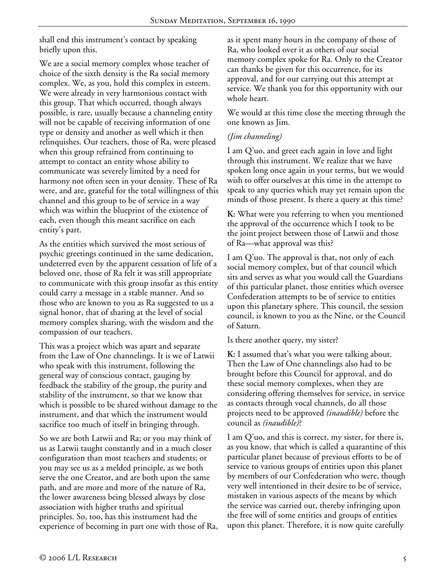shall end this instrument's contact by speaking briefly upon this.

We are a social memory complex whose teacher of choice of the sixth density is the Ra social memory complex. We, as you, hold this complex in esteem. We were already in very harmonious contact with this group. That which occurred, though always possible, is rare, usually because a channeling entity will not be capable of receiving information of one type or density and another as well which it then relinquishes. Our teachers, those of Ra, were pleased when this group refrained from continuing to attempt to contact an entity whose ability to communicate was severely limited by a need for harmony not often seen in your density. These of Ra were, and are, grateful for the total willingness of this channel and this group to be of service in a way which was within the blueprint of the existence of each, even though this meant sacrifice on each entity's part.

As the entities which survived the most serious of psychic greetings continued in the same dedication, undeterred even by the apparent cessation of life of a beloved one, those of Ra felt it was still appropriate to communicate with this group insofar as this entity could carry a message in a stable manner. And so those who are known to you as Ra suggested to us a signal honor, that of sharing at the level of social memory complex sharing, with the wisdom and the compassion of our teachers.

This was a project which was apart and separate from the Law of One channelings. It is we of Latwii who speak with this instrument, following the general way of conscious contact, gauging by feedback the stability of the group, the purity and stability of the instrument, so that we know that which is possible to be shared without damage to the instrument, and that which the instrument would sacrifice too much of itself in bringing through.

So we are both Latwii and Ra; or you may think of us as Latwii taught constantly and in a much closer configuration than most teachers and students; or you may see us as a melded principle, as we both serve the one Creator, and are both upon the same path, and are more and more of the nature of Ra, the lower awareness being blessed always by close association with higher truths and spiritual principles. So, too, has this instrument had the experience of becoming in part one with those of Ra,

as it spent many hours in the company of those of Ra, who looked over it as others of our social memory complex spoke for Ra. Only to the Creator can thanks be given for this occurrence, for its approval, and for our carrying out this attempt at service. We thank you for this opportunity with our whole heart.

We would at this time close the meeting through the one known as Jim.

# *(Jim channeling)*

I am Q'uo, and greet each again in love and light through this instrument. We realize that we have spoken long once again in your terms, but we would wish to offer ourselves at this time in the attempt to speak to any queries which may yet remain upon the minds of those present. Is there a query at this time?

**K:** What were you referring to when you mentioned the approval of the occurrence which I took to be the joint project between those of Latwii and those of Ra—what approval was this?

I am Q'uo. The approval is that, not only of each social memory complex, but of that council which sits and serves as what you would call the Guardians of this particular planet, those entities which oversee Confederation attempts to be of service to entities upon this planetary sphere. This council, the session council, is known to you as the Nine, or the Council of Saturn.

Is there another query, my sister?

**K:** I assumed that's what you were talking about. Then the Law of One channelings also had to be brought before this Council for approval, and do these social memory complexes, when they are considering offering themselves for service, in service as contacts through vocal channels, do all those projects need to be approved *(inaudible)* before the council as *(inaudible)*?

I am Q'uo, and this is correct, my sister, for there is, as you know, that which is called a quarantine of this particular planet because of previous efforts to be of service to various groups of entities upon this planet by members of our Confederation who were, though very well intentioned in their desire to be of service, mistaken in various aspects of the means by which the service was carried out, thereby infringing upon the free will of some entities and groups of entities upon this planet. Therefore, it is now quite carefully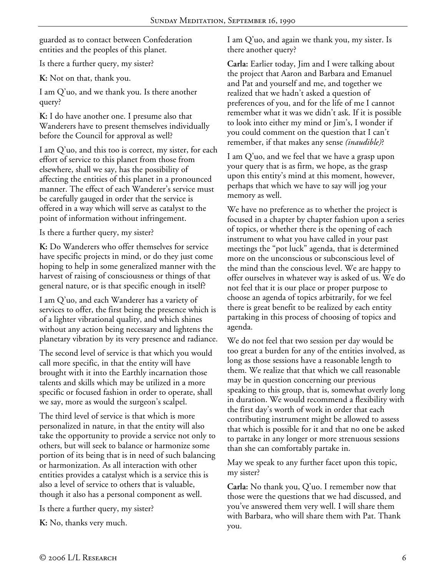guarded as to contact between Confederation entities and the peoples of this planet.

Is there a further query, my sister?

**K:** Not on that, thank you.

I am Q'uo, and we thank you. Is there another query?

**K:** I do have another one. I presume also that Wanderers have to present themselves individually before the Council for approval as well?

I am Q'uo, and this too is correct, my sister, for each effort of service to this planet from those from elsewhere, shall we say, has the possibility of affecting the entities of this planet in a pronounced manner. The effect of each Wanderer's service must be carefully gauged in order that the service is offered in a way which will serve as catalyst to the point of information without infringement.

Is there a further query, my sister?

**K:** Do Wanderers who offer themselves for service have specific projects in mind, or do they just come hoping to help in some generalized manner with the harvest of raising of consciousness or things of that general nature, or is that specific enough in itself?

I am Q'uo, and each Wanderer has a variety of services to offer, the first being the presence which is of a lighter vibrational quality, and which shines without any action being necessary and lightens the planetary vibration by its very presence and radiance.

The second level of service is that which you would call more specific, in that the entity will have brought with it into the Earthly incarnation those talents and skills which may be utilized in a more specific or focused fashion in order to operate, shall we say, more as would the surgeon's scalpel.

The third level of service is that which is more personalized in nature, in that the entity will also take the opportunity to provide a service not only to others, but will seek to balance or harmonize some portion of its being that is in need of such balancing or harmonization. As all interaction with other entities provides a catalyst which is a service this is also a level of service to others that is valuable, though it also has a personal component as well.

Is there a further query, my sister?

**K:** No, thanks very much.

I am Q'uo, and again we thank you, my sister. Is there another query?

**Carla:** Earlier today, Jim and I were talking about the project that Aaron and Barbara and Emanuel and Pat and yourself and me, and together we realized that we hadn't asked a question of preferences of you, and for the life of me I cannot remember what it was we didn't ask. If it is possible to look into either my mind or Jim's, I wonder if you could comment on the question that I can't remember, if that makes any sense *(inaudible)*?

I am Q'uo, and we feel that we have a grasp upon your query that is as firm, we hope, as the grasp upon this entity's mind at this moment, however, perhaps that which we have to say will jog your memory as well.

We have no preference as to whether the project is focused in a chapter by chapter fashion upon a series of topics, or whether there is the opening of each instrument to what you have called in your past meetings the "pot luck" agenda, that is determined more on the unconscious or subconscious level of the mind than the conscious level. We are happy to offer ourselves in whatever way is asked of us. We do not feel that it is our place or proper purpose to choose an agenda of topics arbitrarily, for we feel there is great benefit to be realized by each entity partaking in this process of choosing of topics and agenda.

We do not feel that two session per day would be too great a burden for any of the entities involved, as long as those sessions have a reasonable length to them. We realize that that which we call reasonable may be in question concerning our previous speaking to this group, that is, somewhat overly long in duration. We would recommend a flexibility with the first day's worth of work in order that each contributing instrument might be allowed to assess that which is possible for it and that no one be asked to partake in any longer or more strenuous sessions than she can comfortably partake in.

May we speak to any further facet upon this topic, my sister?

**Carla:** No thank you, Q'uo. I remember now that those were the questions that we had discussed, and you've answered them very well. I will share them with Barbara, who will share them with Pat. Thank you.